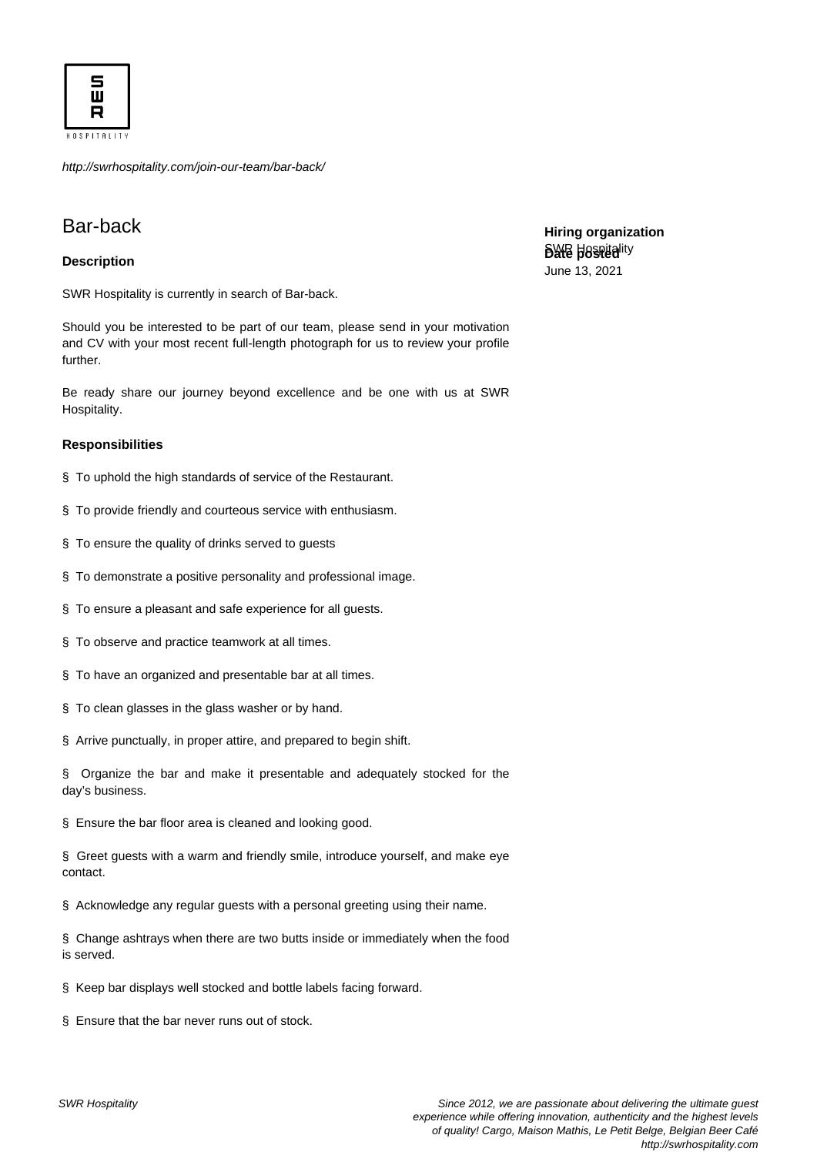

http://swrhospitality.com/join-our-team/bar-back/

## Bar-back

## **Description**

SWR Hospitality is currently in search of Bar-back.

Should you be interested to be part of our team, please send in your motivation and CV with your most recent full-length photograph for us to review your profile further.

Be ready share our journey beyond excellence and be one with us at SWR Hospitality.

## **Responsibilities**

- § To uphold the high standards of service of the Restaurant.
- § To provide friendly and courteous service with enthusiasm.
- § To ensure the quality of drinks served to guests
- § To demonstrate a positive personality and professional image.
- § To ensure a pleasant and safe experience for all guests.
- § To observe and practice teamwork at all times.
- § To have an organized and presentable bar at all times.
- § To clean glasses in the glass washer or by hand.
- § Arrive punctually, in proper attire, and prepared to begin shift.

§ Organize the bar and make it presentable and adequately stocked for the day's business.

§ Ensure the bar floor area is cleaned and looking good.

§ Greet guests with a warm and friendly smile, introduce yourself, and make eye contact.

§ Acknowledge any regular guests with a personal greeting using their name.

§ Change ashtrays when there are two butts inside or immediately when the food is served.

§ Keep bar displays well stocked and bottle labels facing forward.

§ Ensure that the bar never runs out of stock.

**Hiring organization BWB Baspitality** June 13, 2021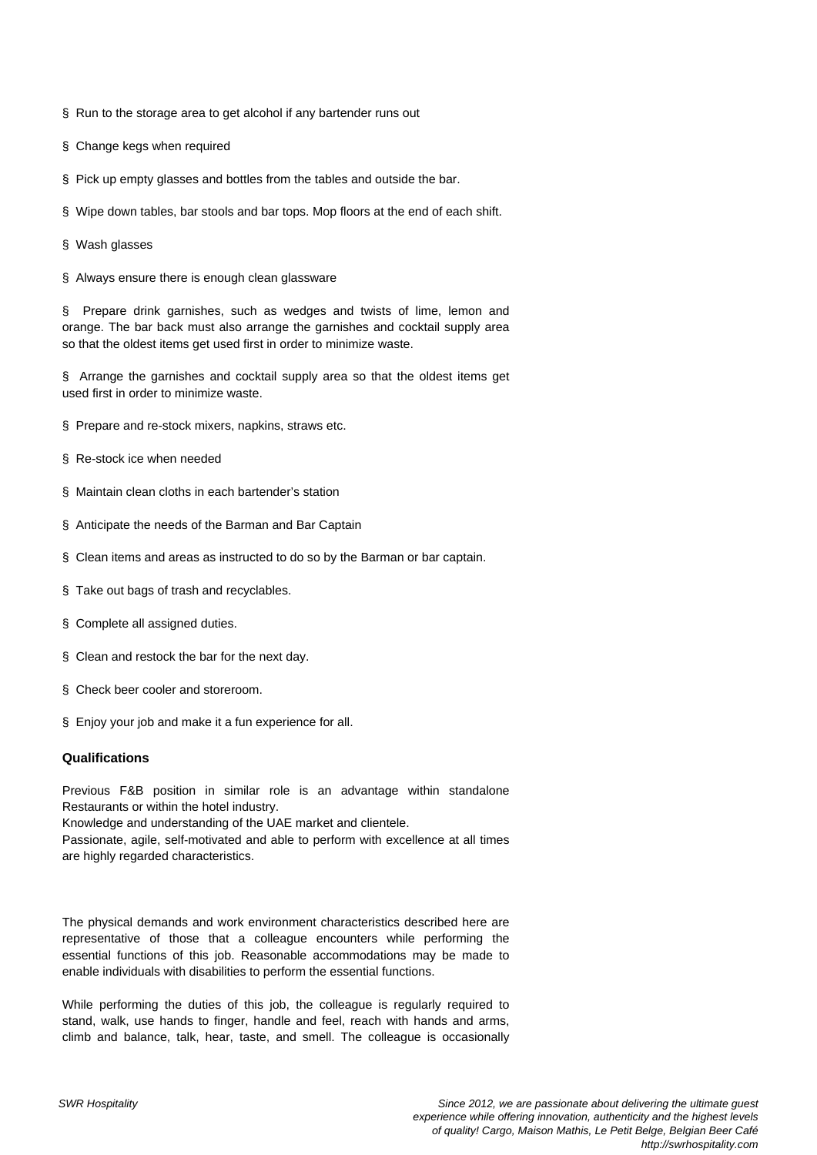§ Run to the storage area to get alcohol if any bartender runs out

- § Change kegs when required
- § Pick up empty glasses and bottles from the tables and outside the bar.
- § Wipe down tables, bar stools and bar tops. Mop floors at the end of each shift.
- § Wash glasses
- § Always ensure there is enough clean glassware

§ Prepare drink garnishes, such as wedges and twists of lime, lemon and orange. The bar back must also arrange the garnishes and cocktail supply area so that the oldest items get used first in order to minimize waste.

§ Arrange the garnishes and cocktail supply area so that the oldest items get used first in order to minimize waste.

- § Prepare and re-stock mixers, napkins, straws etc.
- § Re-stock ice when needed
- § Maintain clean cloths in each bartender's station
- § Anticipate the needs of the Barman and Bar Captain
- § Clean items and areas as instructed to do so by the Barman or bar captain.
- § Take out bags of trash and recyclables.
- § Complete all assigned duties.
- § Clean and restock the bar for the next day.
- § Check beer cooler and storeroom.
- § Enjoy your job and make it a fun experience for all.

## **Qualifications**

Previous F&B position in similar role is an advantage within standalone Restaurants or within the hotel industry. Knowledge and understanding of the UAE market and clientele. Passionate, agile, self-motivated and able to perform with excellence at all times are highly regarded characteristics.

The physical demands and work environment characteristics described here are representative of those that a colleague encounters while performing the essential functions of this job. Reasonable accommodations may be made to enable individuals with disabilities to perform the essential functions.

While performing the duties of this job, the colleague is regularly required to stand, walk, use hands to finger, handle and feel, reach with hands and arms, climb and balance, talk, hear, taste, and smell. The colleague is occasionally